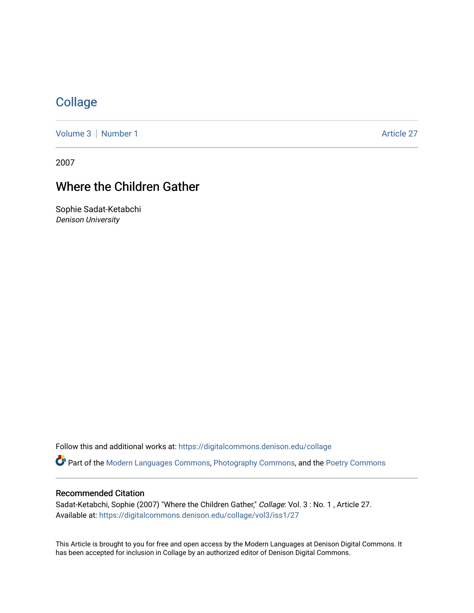## **[Collage](https://digitalcommons.denison.edu/collage)**

[Volume 3](https://digitalcommons.denison.edu/collage/vol3) | [Number 1](https://digitalcommons.denison.edu/collage/vol3/iss1) Article 27

2007

## Where the Children Gather

Sophie Sadat-Ketabchi Denison University

Follow this and additional works at: [https://digitalcommons.denison.edu/collage](https://digitalcommons.denison.edu/collage?utm_source=digitalcommons.denison.edu%2Fcollage%2Fvol3%2Fiss1%2F27&utm_medium=PDF&utm_campaign=PDFCoverPages) 

Part of the [Modern Languages Commons,](http://network.bepress.com/hgg/discipline/1130?utm_source=digitalcommons.denison.edu%2Fcollage%2Fvol3%2Fiss1%2F27&utm_medium=PDF&utm_campaign=PDFCoverPages) [Photography Commons](http://network.bepress.com/hgg/discipline/1142?utm_source=digitalcommons.denison.edu%2Fcollage%2Fvol3%2Fiss1%2F27&utm_medium=PDF&utm_campaign=PDFCoverPages), and the [Poetry Commons](http://network.bepress.com/hgg/discipline/1153?utm_source=digitalcommons.denison.edu%2Fcollage%2Fvol3%2Fiss1%2F27&utm_medium=PDF&utm_campaign=PDFCoverPages)

## Recommended Citation

Sadat-Ketabchi, Sophie (2007) "Where the Children Gather," Collage: Vol. 3: No. 1, Article 27. Available at: [https://digitalcommons.denison.edu/collage/vol3/iss1/27](https://digitalcommons.denison.edu/collage/vol3/iss1/27?utm_source=digitalcommons.denison.edu%2Fcollage%2Fvol3%2Fiss1%2F27&utm_medium=PDF&utm_campaign=PDFCoverPages)

This Article is brought to you for free and open access by the Modern Languages at Denison Digital Commons. It has been accepted for inclusion in Collage by an authorized editor of Denison Digital Commons.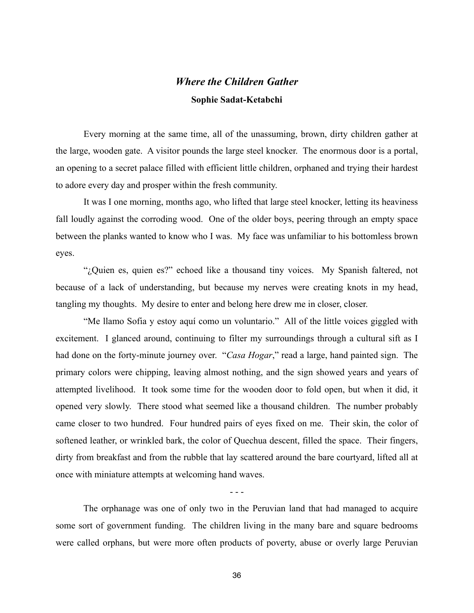## *Where the Children Gather* **Sophie Sadat-Ketabchi**

Every morning at the same time, all of the unassuming, brown, dirty children gather at the large, wooden gate. A visitor pounds the large steel knocker. The enormous door is a portal, an opening to a secret palace filled with efficient little children, orphaned and trying their hardest to adore every day and prosper within the fresh community.

It was I one morning, months ago, who lifted that large steel knocker, letting its heaviness fall loudly against the corroding wood. One of the older boys, peering through an empty space between the planks wanted to know who I was. My face was unfamiliar to his bottomless brown eyes.

"¿Quien es, quien es?" echoed like a thousand tiny voices. My Spanish faltered, not because of a lack of understanding, but because my nerves were creating knots in my head, tangling my thoughts. My desire to enter and belong here drew me in closer, closer.

"Me llamo Sofia y estoy aquí como un voluntario." All of the little voices giggled with excitement. I glanced around, continuing to filter my surroundings through a cultural sift as I had done on the forty-minute journey over. "*Casa Hogar*," read a large, hand painted sign. The primary colors were chipping, leaving almost nothing, and the sign showed years and years of attempted livelihood. It took some time for the wooden door to fold open, but when it did, it opened very slowly. There stood what seemed like a thousand children. The number probably came closer to two hundred. Four hundred pairs of eyes fixed on me. Their skin, the color of softened leather, or wrinkled bark, the color of Quechua descent, filled the space. Their fingers, dirty from breakfast and from the rubble that lay scattered around the bare courtyard, lifted all at once with miniature attempts at welcoming hand waves.

- - -

The orphanage was one of only two in the Peruvian land that had managed to acquire some sort of government funding. The children living in the many bare and square bedrooms were called orphans, but were more often products of poverty, abuse or overly large Peruvian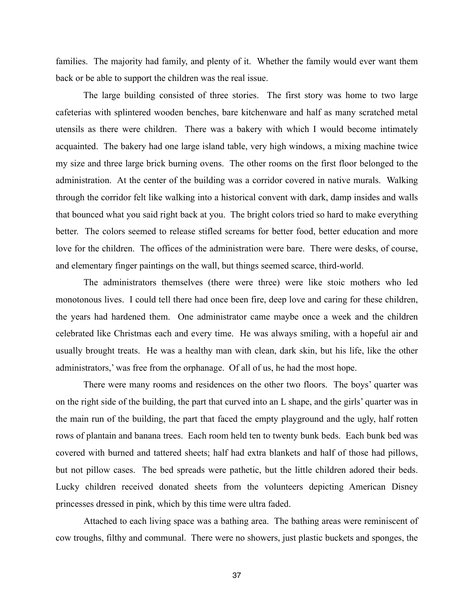families. The majority had family, and plenty of it. Whether the family would ever want them back or be able to support the children was the real issue.

The large building consisted of three stories. The first story was home to two large cafeterias with splintered wooden benches, bare kitchenware and half as many scratched metal utensils as there were children. There was a bakery with which I would become intimately acquainted. The bakery had one large island table, very high windows, a mixing machine twice my size and three large brick burning ovens. The other rooms on the first floor belonged to the administration. At the center of the building was a corridor covered in native murals. Walking through the corridor felt like walking into a historical convent with dark, damp insides and walls that bounced what you said right back at you. The bright colors tried so hard to make everything better. The colors seemed to release stifled screams for better food, better education and more love for the children. The offices of the administration were bare. There were desks, of course, and elementary finger paintings on the wall, but things seemed scarce, third-world.

The administrators themselves (there were three) were like stoic mothers who led monotonous lives. I could tell there had once been fire, deep love and caring for these children, the years had hardened them. One administrator came maybe once a week and the children celebrated like Christmas each and every time. He was always smiling, with a hopeful air and usually brought treats. He was a healthy man with clean, dark skin, but his life, like the other administrators,' was free from the orphanage. Of all of us, he had the most hope.

There were many rooms and residences on the other two floors. The boys' quarter was on the right side of the building, the part that curved into an L shape, and the girls' quarter was in the main run of the building, the part that faced the empty playground and the ugly, half rotten rows of plantain and banana trees. Each room held ten to twenty bunk beds. Each bunk bed was covered with burned and tattered sheets; half had extra blankets and half of those had pillows, but not pillow cases. The bed spreads were pathetic, but the little children adored their beds. Lucky children received donated sheets from the volunteers depicting American Disney princesses dressed in pink, which by this time were ultra faded.

Attached to each living space was a bathing area. The bathing areas were reminiscent of cow troughs, filthy and communal. There were no showers, just plastic buckets and sponges, the

37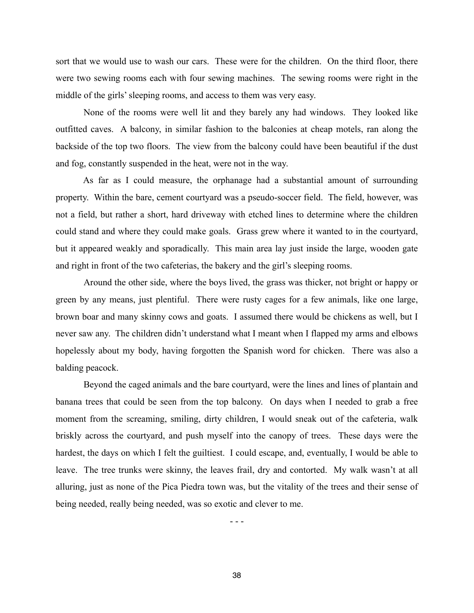sort that we would use to wash our cars. These were for the children. On the third floor, there were two sewing rooms each with four sewing machines. The sewing rooms were right in the middle of the girls' sleeping rooms, and access to them was very easy.

None of the rooms were well lit and they barely any had windows. They looked like outfitted caves. A balcony, in similar fashion to the balconies at cheap motels, ran along the backside of the top two floors. The view from the balcony could have been beautiful if the dust and fog, constantly suspended in the heat, were not in the way.

As far as I could measure, the orphanage had a substantial amount of surrounding property. Within the bare, cement courtyard was a pseudo-soccer field. The field, however, was not a field, but rather a short, hard driveway with etched lines to determine where the children could stand and where they could make goals. Grass grew where it wanted to in the courtyard, but it appeared weakly and sporadically. This main area lay just inside the large, wooden gate and right in front of the two cafeterias, the bakery and the girl's sleeping rooms.

Around the other side, where the boys lived, the grass was thicker, not bright or happy or green by any means, just plentiful. There were rusty cages for a few animals, like one large, brown boar and many skinny cows and goats. I assumed there would be chickens as well, but I never saw any. The children didn't understand what I meant when I flapped my arms and elbows hopelessly about my body, having forgotten the Spanish word for chicken. There was also a balding peacock.

Beyond the caged animals and the bare courtyard, were the lines and lines of plantain and banana trees that could be seen from the top balcony. On days when I needed to grab a free moment from the screaming, smiling, dirty children, I would sneak out of the cafeteria, walk briskly across the courtyard, and push myself into the canopy of trees. These days were the hardest, the days on which I felt the guiltiest. I could escape, and, eventually, I would be able to leave. The tree trunks were skinny, the leaves frail, dry and contorted. My walk wasn't at all alluring, just as none of the Pica Piedra town was, but the vitality of the trees and their sense of being needed, really being needed, was so exotic and clever to me.

- - -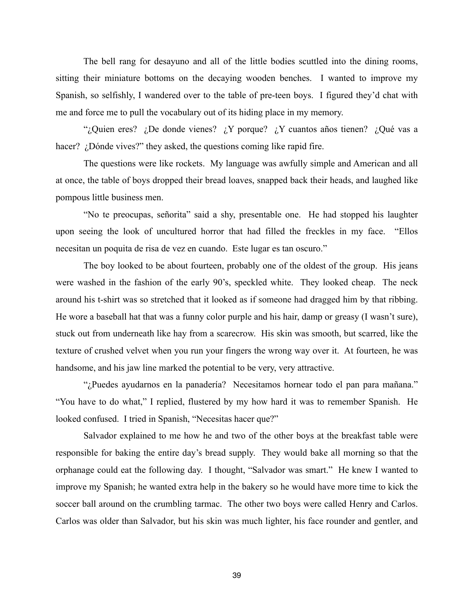The bell rang for desayuno and all of the little bodies scuttled into the dining rooms, sitting their miniature bottoms on the decaying wooden benches. I wanted to improve my Spanish, so selfishly, I wandered over to the table of pre-teen boys. I figured they'd chat with me and force me to pull the vocabulary out of its hiding place in my memory.

"¿Quien eres? ¿De donde vienes? ¿Y porque? ¿Y cuantos años tienen? ¿Qué vas a hacer? *¿Dónde vives?*" they asked, the questions coming like rapid fire.

The questions were like rockets. My language was awfully simple and American and all at once, the table of boys dropped their bread loaves, snapped back their heads, and laughed like pompous little business men.

"No te preocupas, señorita" said a shy, presentable one. He had stopped his laughter upon seeing the look of uncultured horror that had filled the freckles in my face. "Ellos necesitan un poquita de risa de vez en cuando. Este lugar es tan oscuro."

The boy looked to be about fourteen, probably one of the oldest of the group. His jeans were washed in the fashion of the early 90's, speckled white. They looked cheap. The neck around his t-shirt was so stretched that it looked as if someone had dragged him by that ribbing. He wore a baseball hat that was a funny color purple and his hair, damp or greasy (I wasn't sure), stuck out from underneath like hay from a scarecrow. His skin was smooth, but scarred, like the texture of crushed velvet when you run your fingers the wrong way over it. At fourteen, he was handsome, and his jaw line marked the potential to be very, very attractive.

"¿Puedes ayudarnos en la panadería? Necesitamos hornear todo el pan para mañana." "You have to do what," I replied, flustered by my how hard it was to remember Spanish. He looked confused. I tried in Spanish, "Necesitas hacer que?"

Salvador explained to me how he and two of the other boys at the breakfast table were responsible for baking the entire day's bread supply. They would bake all morning so that the orphanage could eat the following day. I thought, "Salvador was smart." He knew I wanted to improve my Spanish; he wanted extra help in the bakery so he would have more time to kick the soccer ball around on the crumbling tarmac. The other two boys were called Henry and Carlos. Carlos was older than Salvador, but his skin was much lighter, his face rounder and gentler, and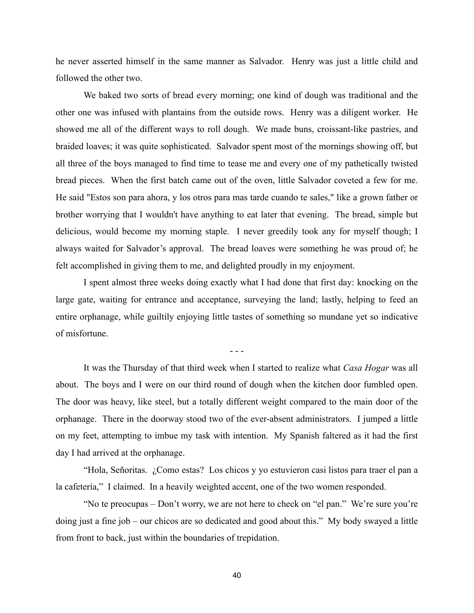he never asserted himself in the same manner as Salvador. Henry was just a little child and followed the other two.

We baked two sorts of bread every morning; one kind of dough was traditional and the other one was infused with plantains from the outside rows. Henry was a diligent worker. He showed me all of the different ways to roll dough. We made buns, croissant-like pastries, and braided loaves; it was quite sophisticated. Salvador spent most of the mornings showing off, but all three of the boys managed to find time to tease me and every one of my pathetically twisted bread pieces. When the first batch came out of the oven, little Salvador coveted a few for me. He said "Estos son para ahora, y los otros para mas tarde cuando te sales," like a grown father or brother worrying that I wouldn't have anything to eat later that evening. The bread, simple but delicious, would become my morning staple. I never greedily took any for myself though; I always waited for Salvador's approval. The bread loaves were something he was proud of; he felt accomplished in giving them to me, and delighted proudly in my enjoyment.

I spent almost three weeks doing exactly what I had done that first day: knocking on the large gate, waiting for entrance and acceptance, surveying the land; lastly, helping to feed an entire orphanage, while guiltily enjoying little tastes of something so mundane yet so indicative of misfortune.

- - -

It was the Thursday of that third week when I started to realize what *Casa Hogar* was all about. The boys and I were on our third round of dough when the kitchen door fumbled open. The door was heavy, like steel, but a totally different weight compared to the main door of the orphanage. There in the doorway stood two of the ever-absent administrators. I jumped a little on my feet, attempting to imbue my task with intention. My Spanish faltered as it had the first day I had arrived at the orphanage.

"Hola, Señoritas. ¿Como estas? Los chicos y yo estuvieron casi listos para traer el pan a la cafetería," I claimed. In a heavily weighted accent, one of the two women responded.

"No te preocupas – Don't worry, we are not here to check on "el pan." We're sure you're doing just a fine job – our chicos are so dedicated and good about this." My body swayed a little from front to back, just within the boundaries of trepidation.